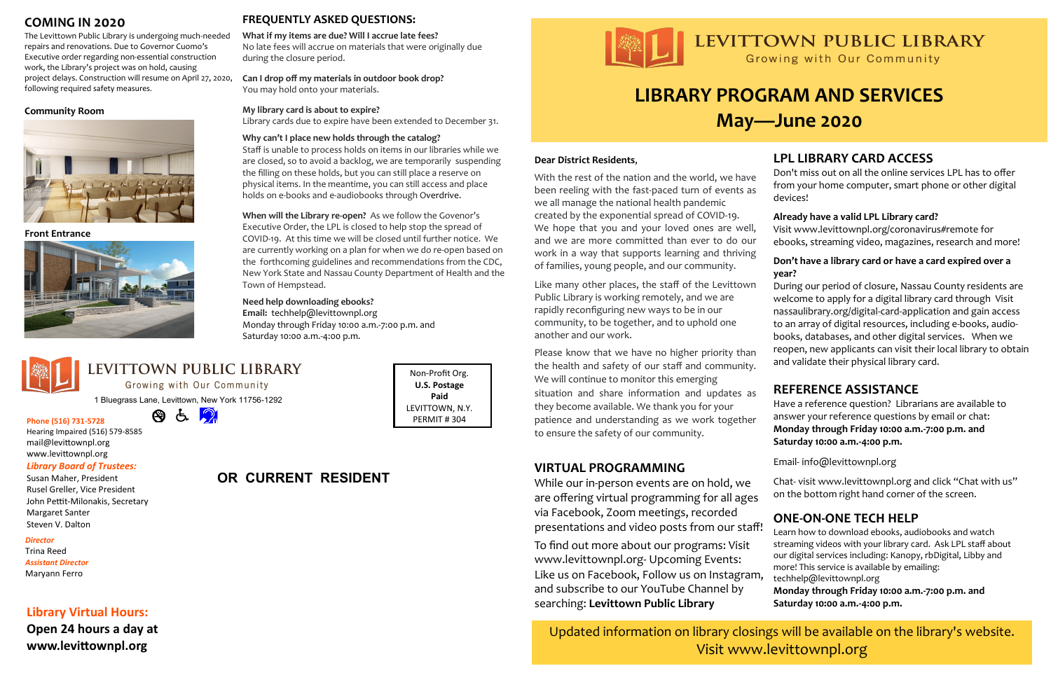# **LIBRARY PROGRAM AND SERVICES May—June 2020**

# **COMING IN 2020**

The Levittown Public Library is undergoing much-needed repairs and renovations. Due to Governor Cuomo's Executive order regarding non-essential construction work, the Library's project was on hold, causing project delays. Construction will resume on April 27, 2020, **Can I drop off my materials in outdoor book drop?** following required safety measures.

#### **Community Room**



**Front Entrance**



# **LPL LIBRARY CARD ACCESS**

Don't miss out on all the online services LPL has to offer from your home computer, smart phone or other digital devices!

#### **Already have a valid LPL Library card?**

Visit [www.levittownpl.org/coronavirus#remote](http://www.levittownpl.org/coronavirus#remote) for ebooks, streaming video, magazines, research and more!

#### **Don't have a library card or have a card expired over a year?**

During our period of closure, Nassau County residents are welcome to apply for a digital library card through Visit [nassaulibrary.org/digital](https://l.facebook.com/l.php?u=http%3A%2F%2Fnassaulibrary.org%2Fdigital-card-application%3Ffbclid%3DIwAR3vDphHhaThcX1UHdOnMjMQOQSTM483IDxxftQ6PeWHGahXgDe_r6Kmtb4&h=AT1grI0YHkN-nW-AYOmkKir4HRAI1arCxv6c8q1BffxTEo6ixeOSETfMQJd4e334dWi52MLlTCcM55J8XpDqadk5R2Vp1PO)-card-application and gain access to an array of digital resources, including e-books, audiobooks, databases, and other digital services. When we reopen, new applicants can visit their local library to obtain and validate their physical library card.

# **FREQUENTLY ASKED QUESTIONS:**

**What if my items are due? Will I accrue late fees?**

No late fees will accrue on materials that were originally due during the closure period.

You may hold onto your materials.

#### **My library card is about to expire?**

Library cards due to expire have been extended to December 31.

#### **Why can't I place new holds through the catalog?**

Staff is unable to process holds on items in our libraries while we are closed, so to avoid a backlog, we are temporarily suspending the filling on these holds, but you can still place a reserve on physical items. In the meantime, you can still access and place holds on e-books and e-audiobooks through [Overdrive.](http://overdrive./)

**When will the Library re-open?** As we follow the Govenor's Executive Order, the LPL is closed to help stop the spread of COVID-19. At this time we will be closed until further notice. We are currently working on a plan for when we do re-open based on the forthcoming guidelines and recommendations from the CDC, New York State and Nassau County Department of Health and the Town of Hempstead.

#### **Need help downloading ebooks?**

**Email:** techhelp@levittownpl.org Monday through Friday 10:00 a.m.-7:00 p.m. and Saturday 10:00 a.m.-4:00 p.m.



# LEVITTOWN PUBLIC LIBRARY

Growing with Our Community

1 Bluegrass Lane, Levittown, New York 11756-1292

a p  $\bigcirc$ 

**Phone (516) 731-5728** Hearing Impaired (516) 579-8585 mail@levittownpl.org www.levittownpl.org

#### *Library Board of Trustees:*

Susan Maher, President Rusel Greller, Vice President John Pettit-Milonakis, Secretary Margaret Santer Steven V. Dalton

#### *Director*

Trina Reed *Assistant Director* Maryann Ferro

## **Library Virtual Hours:**

**Open 24 hours a day at www.levittownpl.org**

# **OR CURRENT RESIDENT**



Non-Profit Org. **U.S. Postage Paid** LEVITTOWN, N.Y. PERMIT # 304

# **REFERENCE ASSISTANCE**

Have a reference question? Librarians are available to answer your reference questions by email or chat: **Monday through Friday 10:00 a.m.-7:00 p.m. and Saturday 10:00 a.m.-4:00 p.m.**

Email- [info@levittownpl.org](mailto:info@levittownpl.org)

Chat- visit [www.levittownpl.org](http://www.levittownpl.org) and click "Chat with us" on the bottom right hand corner of the screen.

# **ONE-ON-ONE TECH HELP**

Learn how to download ebooks, audiobooks and watch streaming videos with your library card. Ask LPL staff about our digital services including: Kanopy, rbDigital, Libby and

# Updated information on library closings will be available on the library's website. Visit www.levittownpl.org

## **VIRTUAL PROGRAMMING**

more! This service is available by emailing: techhelp@levittownpl.org **Monday through Friday 10:00 a.m.-7:00 p.m. and Saturday 10:00 a.m.-4:00 p.m.** To find out more about our programs: Visit www.levittownpl.org- Upcoming Events: Like us on Facebook, Follow us on Instagram, and subscribe to our YouTube Channel by searching: **Levittown Public Library**

# LEVITTOWN PUBLIC LIBRARY

Growing with Our Community

While our in-person events are on hold, we are offering virtual programming for all ages via Facebook, Zoom meetings, recorded presentations and video posts from our staff!

#### **Dear District Residents**,

With the rest of the nation and the world, we have been reeling with the fast-paced turn of events as we all manage the national health pandemic created by the exponential spread of COVID-19. We hope that you and your loved ones are well, and we are more committed than ever to do our work in a way that supports learning and thriving of families, young people, and our community.

Like many other places, the staff of the Levittown Public Library is working remotely, and we are rapidly reconfiguring new ways to be in our community, to be together, and to uphold one another and our work.

Please know that we have no higher priority than the health and safety of our staff and community. We will continue to monitor this emerging situation and share information and updates as they become available. We thank you for your patience and understanding as we work together to ensure the safety of our community.